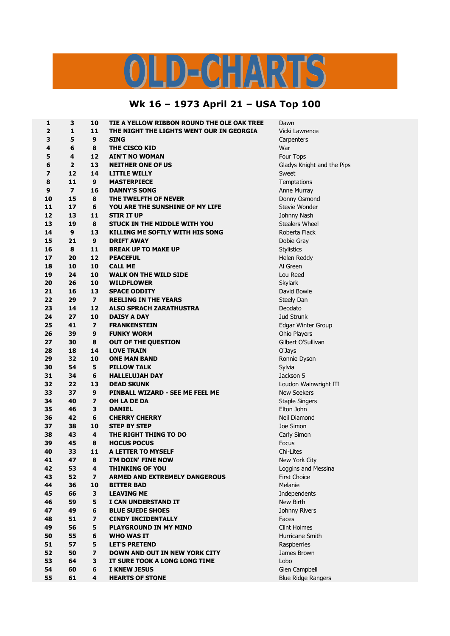## OLD-CHARTS

## **Wk 16 – 1973 April 21 – USA Top 100**

| 1  | 3                        | 10                      | TIE A YELLOW RIBBON ROUND THE OLE OAK TREE | Dawn                       |
|----|--------------------------|-------------------------|--------------------------------------------|----------------------------|
| 2  | 1                        | 11                      | THE NIGHT THE LIGHTS WENT OUR IN GEORGIA   | Vicki Lawrence             |
| 3  | 5                        | 9                       | <b>SING</b>                                | Carpenters                 |
| 4  | 6                        | 8                       | THE CISCO KID                              | War                        |
| 5  | 4                        | 12                      | <b>AIN'T NO WOMAN</b>                      | Four Tops                  |
| 6  | $\overline{2}$           | 13                      | <b>NEITHER ONE OF US</b>                   | Gladys Knight and the Pips |
| 7  | 12                       | 14                      | <b>LITTLE WILLY</b>                        | Sweet                      |
| 8  | 11                       | 9                       | <b>MASTERPIECE</b>                         | Temptations                |
| 9  | $\overline{\phantom{a}}$ | 16                      | <b>DANNY'S SONG</b>                        | Anne Murray                |
| 10 | 15                       | 8                       | THE TWELFTH OF NEVER                       | Donny Osmond               |
| 11 | 17                       | 6                       | YOU ARE THE SUNSHINE OF MY LIFE            | Stevie Wonder              |
| 12 | 13                       | 11                      | <b>STIR IT UP</b>                          | Johnny Nash                |
| 13 | 19                       | 8                       | STUCK IN THE MIDDLE WITH YOU               | Stealers Wheel             |
| 14 | 9                        | 13                      | <b>KILLING ME SOFTLY WITH HIS SONG</b>     | Roberta Flack              |
| 15 | 21                       | 9                       | <b>DRIFT AWAY</b>                          | Dobie Gray                 |
| 16 | 8                        | 11                      | <b>BREAK UP TO MAKE UP</b>                 | <b>Stylistics</b>          |
| 17 | 20                       | 12                      | <b>PEACEFUL</b>                            | Helen Reddy                |
| 18 | 10                       | 10                      | <b>CALL ME</b>                             | Al Green                   |
| 19 | 24                       | 10                      | <b>WALK ON THE WILD SIDE</b>               | Lou Reed                   |
| 20 | 26                       | 10                      | <b>WILDFLOWER</b>                          | <b>Skylark</b>             |
| 21 | 16                       | 13                      | <b>SPACE ODDITY</b>                        | David Bowie                |
| 22 | 29                       | $\overline{\mathbf{z}}$ | <b>REELING IN THE YEARS</b>                | Steely Dan                 |
| 23 | 14                       | 12                      | <b>ALSO SPRACH ZARATHUSTRA</b>             | Deodato                    |
| 24 | 27                       | 10                      | <b>DAISY A DAY</b>                         | <b>Jud Strunk</b>          |
| 25 | 41                       | $\overline{\mathbf{z}}$ | <b>FRANKENSTEIN</b>                        | Edgar Winter Group         |
| 26 | 39                       | 9                       | <b>FUNKY WORM</b>                          | Ohio Players               |
| 27 | 30                       | 8                       | <b>OUT OF THE QUESTION</b>                 | Gilbert O'Sullivan         |
| 28 | 18                       | 14                      | <b>LOVE TRAIN</b>                          | O'Jays                     |
| 29 | 32                       | 10                      | <b>ONE MAN BAND</b>                        | Ronnie Dyson               |
| 30 | 54                       | 5                       | <b>PILLOW TALK</b>                         | Sylvia                     |
| 31 | 34                       | 6                       | <b>HALLELUJAH DAY</b>                      | Jackson 5                  |
| 32 | 22                       | 13                      | <b>DEAD SKUNK</b>                          | Loudon Wainwright III      |
| 33 | 37                       | 9                       | PINBALL WIZARD - SEE ME FEEL ME            | <b>New Seekers</b>         |
| 34 | 40                       | $\overline{\mathbf{z}}$ | OH LA DE DA                                | <b>Staple Singers</b>      |
| 35 | 46                       | 3                       | <b>DANIEL</b>                              | Elton John                 |
| 36 | 42                       | 6                       | <b>CHERRY CHERRY</b>                       | Neil Diamond               |
| 37 | 38                       | 10                      | <b>STEP BY STEP</b>                        | Joe Simon                  |
| 38 | 43                       | 4                       | THE RIGHT THING TO DO                      | Carly Simon                |
| 39 | 45                       | 8                       | <b>HOCUS POCUS</b>                         | Focus                      |
| 40 | 33                       | 11                      | A LETTER TO MYSELF                         | Chi-Lites                  |
| 41 | 47                       | 8                       | I'M DOIN' FINE NOW                         | New York City              |
| 42 | 53                       | 4                       | <b>THINKING OF YOU</b>                     | Loggins and Messina        |
| 43 | 52                       | $\overline{\mathbf{z}}$ | <b>ARMED AND EXTREMELY DANGEROUS</b>       | <b>First Choice</b>        |
| 44 | 36                       | 10                      | <b>BITTER BAD</b>                          | Melanie                    |
| 45 | 66                       | 3                       | <b>LEAVING ME</b>                          | Independents               |
| 46 | 59                       | 5                       | I CAN UNDERSTAND IT                        | New Birth                  |
| 47 | 49                       | 6                       | <b>BLUE SUEDE SHOES</b>                    | Johnny Rivers              |
| 48 | 51                       | $\overline{\mathbf{z}}$ | <b>CINDY INCIDENTALLY</b>                  | Faces                      |
| 49 | 56                       | 5                       | <b>PLAYGROUND IN MY MIND</b>               | <b>Clint Holmes</b>        |
| 50 | 55                       | 6                       | <b>WHO WAS IT</b>                          | Hurricane Smith            |
| 51 | 57                       | 5                       | <b>LET'S PRETEND</b>                       | Raspberries                |
| 52 | 50                       | $\overline{\mathbf{z}}$ | <b>DOWN AND OUT IN NEW YORK CITY</b>       | James Brown                |
| 53 | 64                       | 3                       | IT SURE TOOK A LONG LONG TIME              | Lobo                       |
| 54 | 60                       | 6                       | <b>I KNEW JESUS</b>                        | Glen Campbell              |
| 55 | 61                       | 4                       | <b>HEARTS OF STONE</b>                     | <b>Blue Ridge Rangers</b>  |